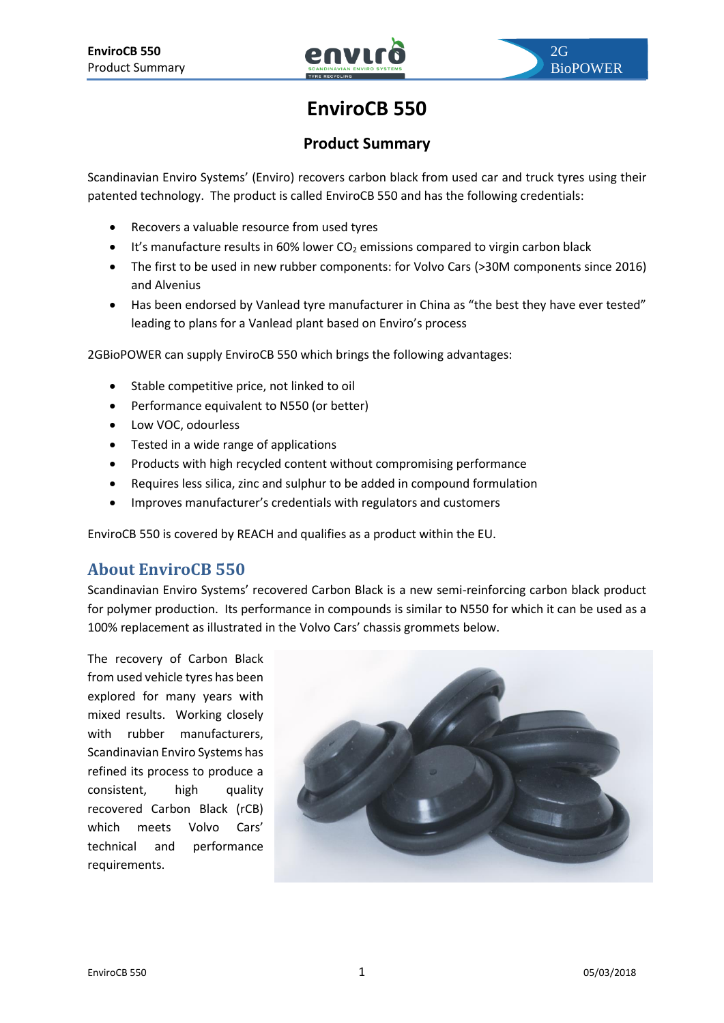# **EnviroCB 550**

### **Product Summary**

Scandinavian Enviro Systems' (Enviro) recovers carbon black from used car and truck tyres using their patented technology. The product is called EnviroCB 550 and has the following credentials:

- Recovers a valuable resource from used tyres
- $\bullet$  It's manufacture results in 60% lower CO<sub>2</sub> emissions compared to virgin carbon black
- The first to be used in new rubber components: for Volvo Cars (>30M components since 2016) and Alvenius
- Has been endorsed by Vanlead tyre manufacturer in China as "the best they have ever tested" leading to plans for a Vanlead plant based on Enviro's process

2GBioPOWER can supply EnviroCB 550 which brings the following advantages:

- Stable competitive price, not linked to oil
- Performance equivalent to N550 (or better)
- Low VOC, odourless
- Tested in a wide range of applications
- Products with high recycled content without compromising performance
- Requires less silica, zinc and sulphur to be added in compound formulation
- Improves manufacturer's credentials with regulators and customers

EnviroCB 550 is covered by REACH and qualifies as a product within the EU.

# **About EnviroCB 550**

Scandinavian Enviro Systems' recovered Carbon Black is a new semi-reinforcing carbon black product for polymer production. Its performance in compounds is similar to N550 for which it can be used as a 100% replacement as illustrated in the Volvo Cars' chassis grommets below.

The recovery of Carbon Black from used vehicle tyres has been explored for many years with mixed results. Working closely with rubber manufacturers, Scandinavian Enviro Systems has refined its process to produce a consistent, high quality recovered Carbon Black (rCB) which meets Volvo Cars' technical and performance requirements.

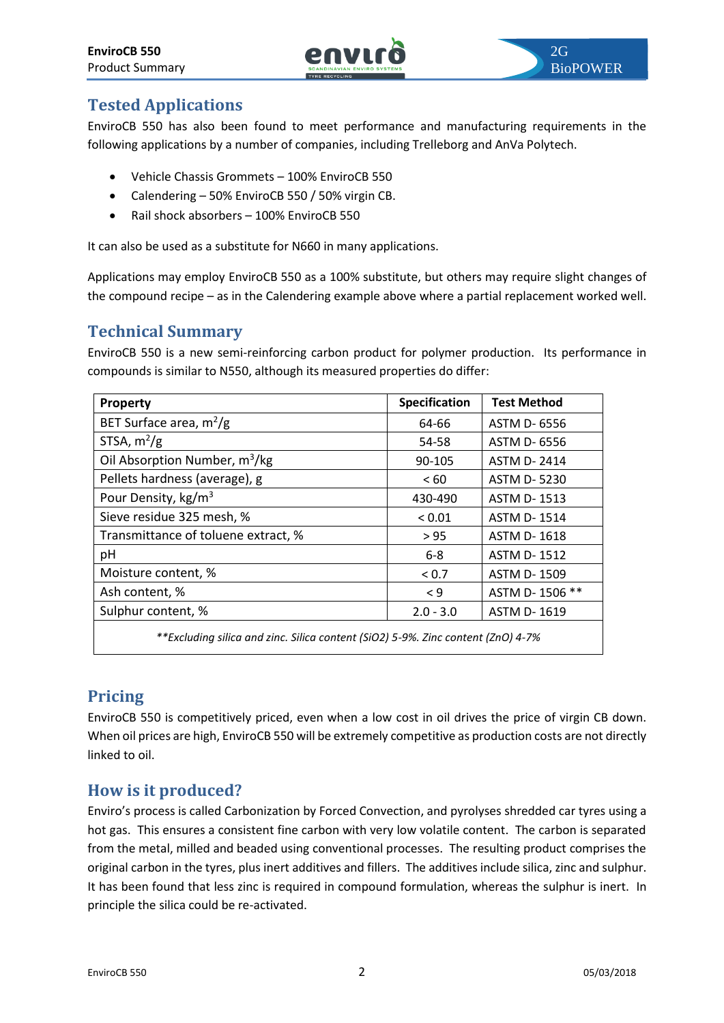

# **Tested Applications**

EnviroCB 550 has also been found to meet performance and manufacturing requirements in the following applications by a number of companies, including Trelleborg and AnVa Polytech.

- Vehicle Chassis Grommets 100% EnviroCB 550
- Calendering 50% EnviroCB 550 / 50% virgin CB.
- Rail shock absorbers 100% EnviroCB 550

It can also be used as a substitute for N660 in many applications.

Applications may employ EnviroCB 550 as a 100% substitute, but others may require slight changes of the compound recipe – as in the Calendering example above where a partial replacement worked well.

# **Technical Summary**

EnviroCB 550 is a new semi-reinforcing carbon product for polymer production. Its performance in compounds is similar to N550, although its measured properties do differ:

| <b>Property</b>                                                                  | Specification | <b>Test Method</b> |
|----------------------------------------------------------------------------------|---------------|--------------------|
| BET Surface area, $m^2/g$                                                        | 64-66         | ASTM D- 6556       |
| STSA, $m^2/g$                                                                    | 54-58         | ASTM D- 6556       |
| Oil Absorption Number, m <sup>3</sup> /kg                                        | 90-105        | <b>ASTM D-2414</b> |
| Pellets hardness (average), g                                                    | < 60          | <b>ASTM D-5230</b> |
| Pour Density, kg/m <sup>3</sup>                                                  | 430-490       | <b>ASTM D-1513</b> |
| Sieve residue 325 mesh, %                                                        | ${}< 0.01$    | <b>ASTM D-1514</b> |
| Transmittance of toluene extract, %                                              | > 95          | <b>ASTM D-1618</b> |
| pH                                                                               | $6 - 8$       | <b>ASTM D-1512</b> |
| Moisture content, %                                                              | < 0.7         | ASTM D-1509        |
| Ash content, %                                                                   | $\leq 9$      | ASTM D-1506 **     |
| Sulphur content, %                                                               | $2.0 - 3.0$   | <b>ASTM D-1619</b> |
| **Excluding silica and zinc. Silica content (SiO2) 5-9%. Zinc content (ZnO) 4-7% |               |                    |

#### **Pricing**

EnviroCB 550 is competitively priced, even when a low cost in oil drives the price of virgin CB down. When oil prices are high, EnviroCB 550 will be extremely competitive as production costs are not directly linked to oil.

# **How is it produced?**

Enviro's process is called Carbonization by Forced Convection, and pyrolyses shredded car tyres using a hot gas. This ensures a consistent fine carbon with very low volatile content. The carbon is separated from the metal, milled and beaded using conventional processes. The resulting product comprises the original carbon in the tyres, plus inert additives and fillers. The additives include silica, zinc and sulphur. It has been found that less zinc is required in compound formulation, whereas the sulphur is inert. In principle the silica could be re-activated.